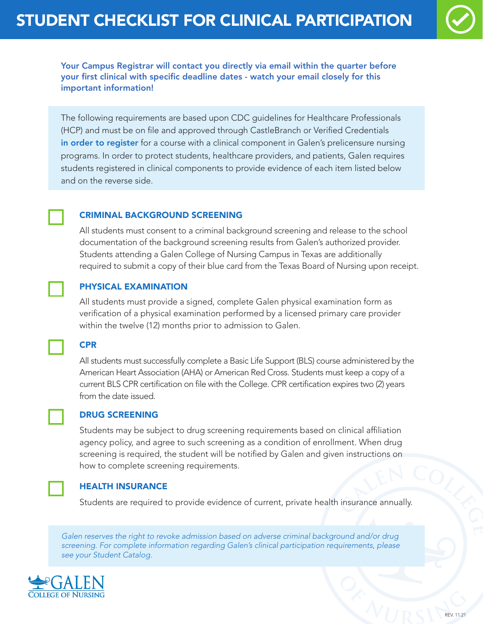

Your Campus Registrar will contact you directly via email within the quarter before your first clinical with specific deadline dates - watch your email closely for this important information!

The following requirements are based upon CDC guidelines for Healthcare Professionals (HCP) and must be on file and approved through CastleBranch or Verified Credentials in order to register for a course with a clinical component in Galen's prelicensure nursing programs. In order to protect students, healthcare providers, and patients, Galen requires students registered in clinical components to provide evidence of each item listed below and on the reverse side.

## CRIMINAL BACKGROUND SCREENING

All students must consent to a criminal background screening and release to the school documentation of the background screening results from Galen's authorized provider. Students attending a Galen College of Nursing Campus in Texas are additionally required to submit a copy of their blue card from the Texas Board of Nursing upon receipt.

## PHYSICAL EXAMINATION

All students must provide a signed, complete Galen physical examination form as verification of a physical examination performed by a licensed primary care provider within the twelve (12) months prior to admission to Galen.



All students must successfully complete a Basic Life Support (BLS) course administered by the American Heart Association (AHA) or American Red Cross. Students must keep a copy of a current BLS CPR certification on file with the College. CPR certification expires two (2) years from the date issued.



#### DRUG SCREENING

Students may be subject to drug screening requirements based on clinical affiliation agency policy, and agree to such screening as a condition of enrollment. When drug screening is required, the student will be notified by Galen and given instructions on how to complete screening requirements.



#### HEALTH INSURANCE

Students are required to provide evidence of current, private health insurance annually.

*Galen reserves the right to revoke admission based on adverse criminal background and/or drug screening. For complete information regarding Galen's clinical participation requirements, please see your Student Catalog.*